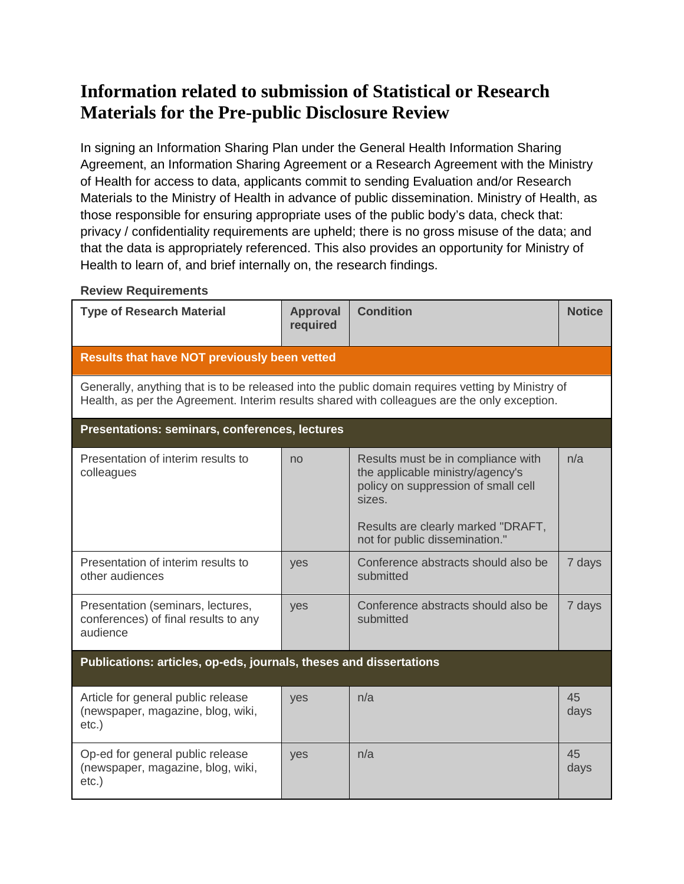# **Information related to submission of Statistical or Research Materials for the Pre-public Disclosure Review**

In signing an Information Sharing Plan under the General Health Information Sharing Agreement, an Information Sharing Agreement or a Research Agreement with the Ministry of Health for access to data, applicants commit to sending Evaluation and/or Research Materials to the Ministry of Health in advance of public dissemination. Ministry of Health, as those responsible for ensuring appropriate uses of the public body's data, check that: privacy / confidentiality requirements are upheld; there is no gross misuse of the data; and that the data is appropriately referenced. This also provides an opportunity for Ministry of Health to learn of, and brief internally on, the research findings.

#### **Review Requirements**

| <b>Type of Research Material</b>                                                                                                                                                                  | <b>Approval</b><br>required | <b>Condition</b>                                                                                                                                                                                | <b>Notice</b> |
|---------------------------------------------------------------------------------------------------------------------------------------------------------------------------------------------------|-----------------------------|-------------------------------------------------------------------------------------------------------------------------------------------------------------------------------------------------|---------------|
| <b>Results that have NOT previously been vetted</b>                                                                                                                                               |                             |                                                                                                                                                                                                 |               |
| Generally, anything that is to be released into the public domain requires vetting by Ministry of<br>Health, as per the Agreement. Interim results shared with colleagues are the only exception. |                             |                                                                                                                                                                                                 |               |
| Presentations: seminars, conferences, lectures                                                                                                                                                    |                             |                                                                                                                                                                                                 |               |
| Presentation of interim results to<br>colleagues                                                                                                                                                  | no                          | Results must be in compliance with<br>the applicable ministry/agency's<br>policy on suppression of small cell<br>sizes.<br>Results are clearly marked "DRAFT,<br>not for public dissemination." | n/a           |
| Presentation of interim results to<br>other audiences                                                                                                                                             | yes                         | Conference abstracts should also be<br>submitted                                                                                                                                                | 7 days        |
| Presentation (seminars, lectures,<br>conferences) of final results to any<br>audience                                                                                                             | yes                         | Conference abstracts should also be<br>submitted                                                                                                                                                | 7 days        |
| Publications: articles, op-eds, journals, theses and dissertations                                                                                                                                |                             |                                                                                                                                                                                                 |               |
| Article for general public release<br>(newspaper, magazine, blog, wiki,<br>$etc.$ )                                                                                                               | yes                         | n/a                                                                                                                                                                                             | 45<br>days    |
| Op-ed for general public release<br>(newspaper, magazine, blog, wiki,<br>$etc.$ )                                                                                                                 | yes                         | n/a                                                                                                                                                                                             | 45<br>days    |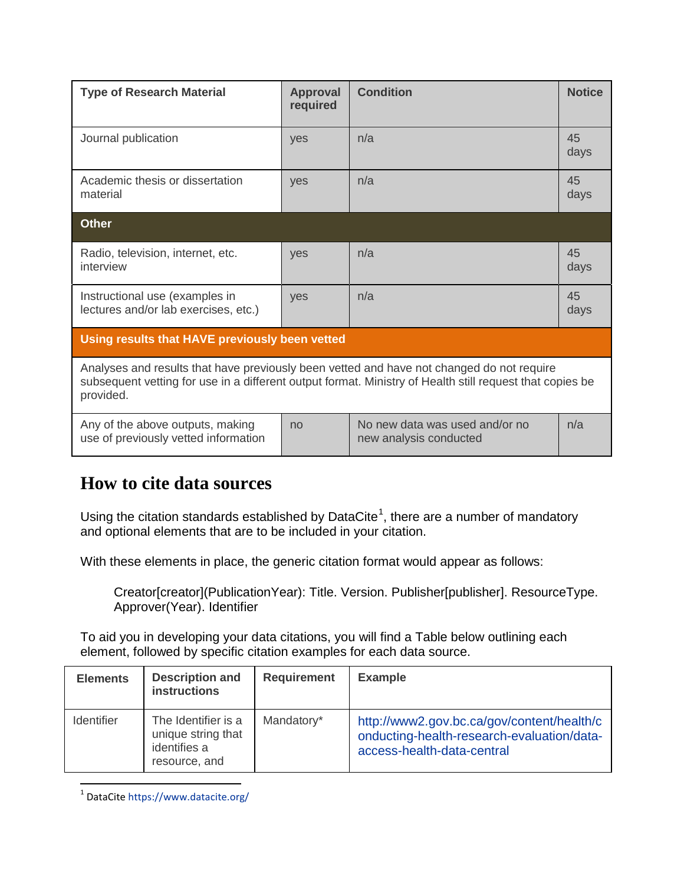| <b>Type of Research Material</b>                                                                                                                                                                                   | <b>Approval</b><br>required | <b>Condition</b>                                         | <b>Notice</b> |
|--------------------------------------------------------------------------------------------------------------------------------------------------------------------------------------------------------------------|-----------------------------|----------------------------------------------------------|---------------|
| Journal publication                                                                                                                                                                                                | yes                         | n/a                                                      | 45<br>days    |
| Academic thesis or dissertation<br>material                                                                                                                                                                        | yes                         | n/a                                                      | 45<br>days    |
| <b>Other</b>                                                                                                                                                                                                       |                             |                                                          |               |
| Radio, television, internet, etc.<br>interview                                                                                                                                                                     | <b>ves</b>                  | n/a                                                      | 45<br>days    |
| Instructional use (examples in<br>lectures and/or lab exercises, etc.)                                                                                                                                             | yes                         | n/a                                                      | 45<br>days    |
| Using results that HAVE previously been vetted                                                                                                                                                                     |                             |                                                          |               |
| Analyses and results that have previously been vetted and have not changed do not require<br>subsequent vetting for use in a different output format. Ministry of Health still request that copies be<br>provided. |                             |                                                          |               |
| Any of the above outputs, making<br>use of previously vetted information                                                                                                                                           | no                          | No new data was used and/or no<br>new analysis conducted | n/a           |

## **How to cite data sources**

Using the citation standards established by DataCite<sup>[1](#page-1-0)</sup>, there are a number of mandatory and optional elements that are to be included in your citation.

With these elements in place, the generic citation format would appear as follows:

Creator[creator](PublicationYear): Title. Version. Publisher[publisher]. ResourceType. Approver(Year). Identifier

To aid you in developing your data citations, you will find a Table below outlining each element, followed by specific citation examples for each data source.

| <b>Elements</b>   | <b>Description and</b><br><b>instructions</b>                              | <b>Requirement</b> | <b>Example</b>                                                                                                         |
|-------------------|----------------------------------------------------------------------------|--------------------|------------------------------------------------------------------------------------------------------------------------|
| <b>Identifier</b> | The Identifier is a<br>unique string that<br>identifies a<br>resource, and | Mandatory*         | http://www2.gov.bc.ca/gov/content/health/c<br>onducting-health-research-evaluation/data-<br>access-health-data-central |

<span id="page-1-0"></span> <sup>1</sup> DataCite<https://www.datacite.org/>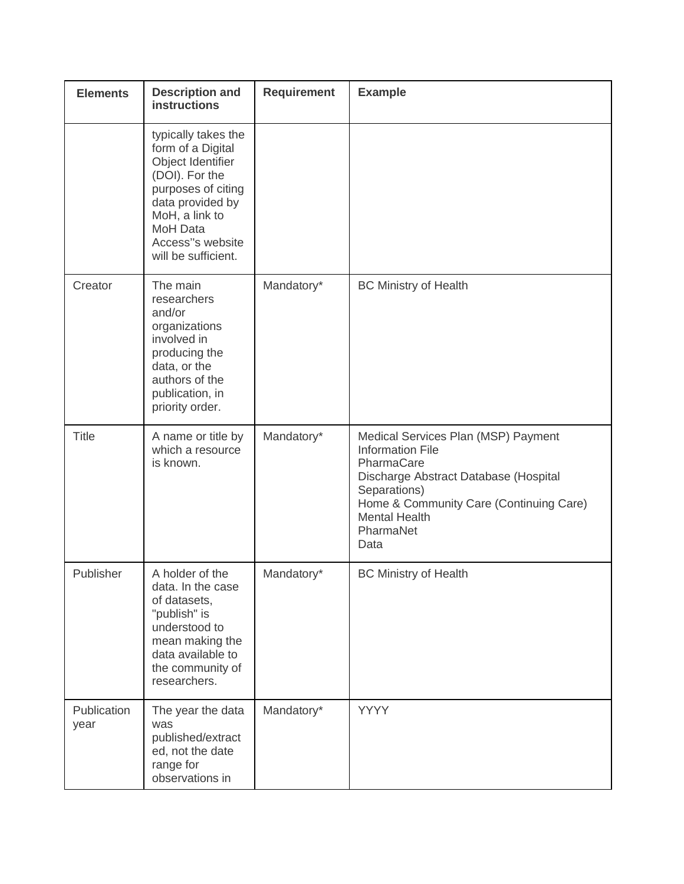| <b>Elements</b>     | <b>Description and</b><br><b>instructions</b>                                                                                                                                                             | <b>Requirement</b> | <b>Example</b>                                                                                                                                                                                                                |
|---------------------|-----------------------------------------------------------------------------------------------------------------------------------------------------------------------------------------------------------|--------------------|-------------------------------------------------------------------------------------------------------------------------------------------------------------------------------------------------------------------------------|
|                     | typically takes the<br>form of a Digital<br>Object Identifier<br>(DOI). For the<br>purposes of citing<br>data provided by<br>MoH, a link to<br><b>MoH Data</b><br>Access"s website<br>will be sufficient. |                    |                                                                                                                                                                                                                               |
| Creator             | The main<br>researchers<br>and/or<br>organizations<br>involved in<br>producing the<br>data, or the<br>authors of the<br>publication, in<br>priority order.                                                | Mandatory*         | <b>BC Ministry of Health</b>                                                                                                                                                                                                  |
| <b>Title</b>        | A name or title by<br>which a resource<br>is known.                                                                                                                                                       | Mandatory*         | Medical Services Plan (MSP) Payment<br><b>Information File</b><br>PharmaCare<br>Discharge Abstract Database (Hospital<br>Separations)<br>Home & Community Care (Continuing Care)<br><b>Mental Health</b><br>PharmaNet<br>Data |
| Publisher           | A holder of the<br>data. In the case<br>of datasets,<br>"publish" is<br>understood to<br>mean making the<br>data available to<br>the community of<br>researchers.                                         | Mandatory*         | <b>BC Ministry of Health</b>                                                                                                                                                                                                  |
| Publication<br>year | The year the data<br>was<br>published/extract<br>ed, not the date<br>range for<br>observations in                                                                                                         | Mandatory*         | <b>YYYY</b>                                                                                                                                                                                                                   |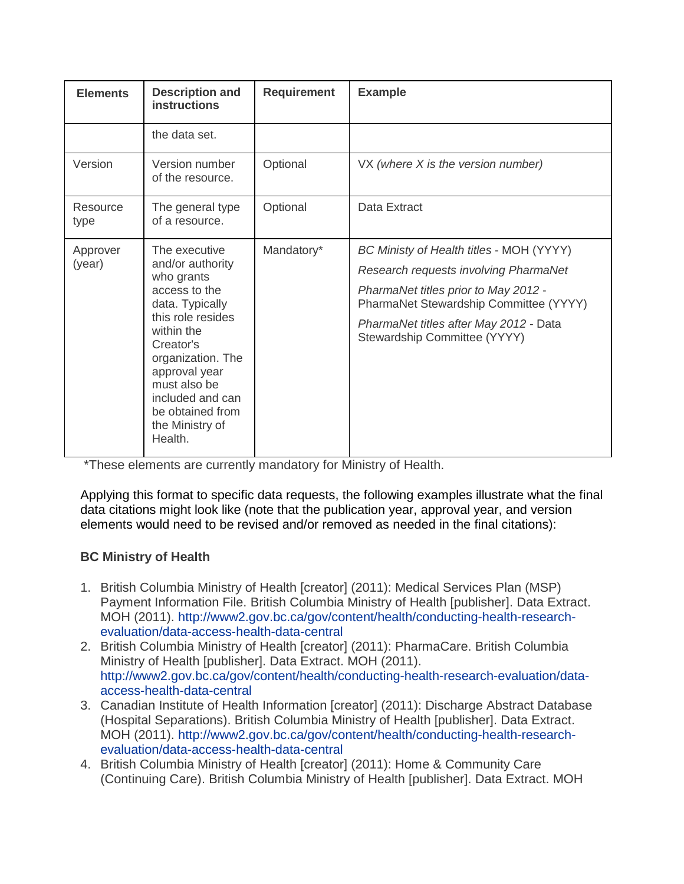| <b>Elements</b>    | <b>Description and</b><br><b>instructions</b>                                                                                                                                                                                                                   | <b>Requirement</b> | <b>Example</b>                                                                                                                                                                                                                                |
|--------------------|-----------------------------------------------------------------------------------------------------------------------------------------------------------------------------------------------------------------------------------------------------------------|--------------------|-----------------------------------------------------------------------------------------------------------------------------------------------------------------------------------------------------------------------------------------------|
|                    | the data set.                                                                                                                                                                                                                                                   |                    |                                                                                                                                                                                                                                               |
| Version            | Version number<br>of the resource.                                                                                                                                                                                                                              | Optional           | $VX$ (where X is the version number)                                                                                                                                                                                                          |
| Resource<br>type   | The general type<br>of a resource.                                                                                                                                                                                                                              | Optional           | Data Extract                                                                                                                                                                                                                                  |
| Approver<br>(year) | The executive<br>and/or authority<br>who grants<br>access to the<br>data. Typically<br>this role resides<br>within the<br>Creator's<br>organization. The<br>approval year<br>must also be<br>included and can<br>be obtained from<br>the Ministry of<br>Health. | Mandatory*         | BC Ministy of Health titles - MOH (YYYY)<br>Research requests involving PharmaNet<br>PharmaNet titles prior to May 2012 -<br>PharmaNet Stewardship Committee (YYYY)<br>PharmaNet titles after May 2012 - Data<br>Stewardship Committee (YYYY) |

\*These elements are currently mandatory for Ministry of Health.

Applying this format to specific data requests, the following examples illustrate what the final data citations might look like (note that the publication year, approval year, and version elements would need to be revised and/or removed as needed in the final citations):

### **BC Ministry of Health**

- 1. British Columbia Ministry of Health [creator] (2011): Medical Services Plan (MSP) Payment Information File. British Columbia Ministry of Health [publisher]. Data Extract. MOH (2011). http://www2.gov.bc.ca/gov/content/health/conducting-health-researchevaluation/data-access-health-data-central
- 2. British Columbia Ministry of Health [creator] (2011): PharmaCare. British Columbia Ministry of Health [publisher]. Data Extract. MOH (2011). http://www2.gov.bc.ca/gov/content/health/conducting-health-research-evaluation/dataaccess-health-data-central
- 3. Canadian Institute of Health Information [creator] (2011): Discharge Abstract Database (Hospital Separations). British Columbia Ministry of Health [publisher]. Data Extract. MOH (2011). http://www2.gov.bc.ca/gov/content/health/conducting-health-researchevaluation/data-access-health-data-central
- 4. British Columbia Ministry of Health [creator] (2011): Home & Community Care (Continuing Care). British Columbia Ministry of Health [publisher]. Data Extract. MOH